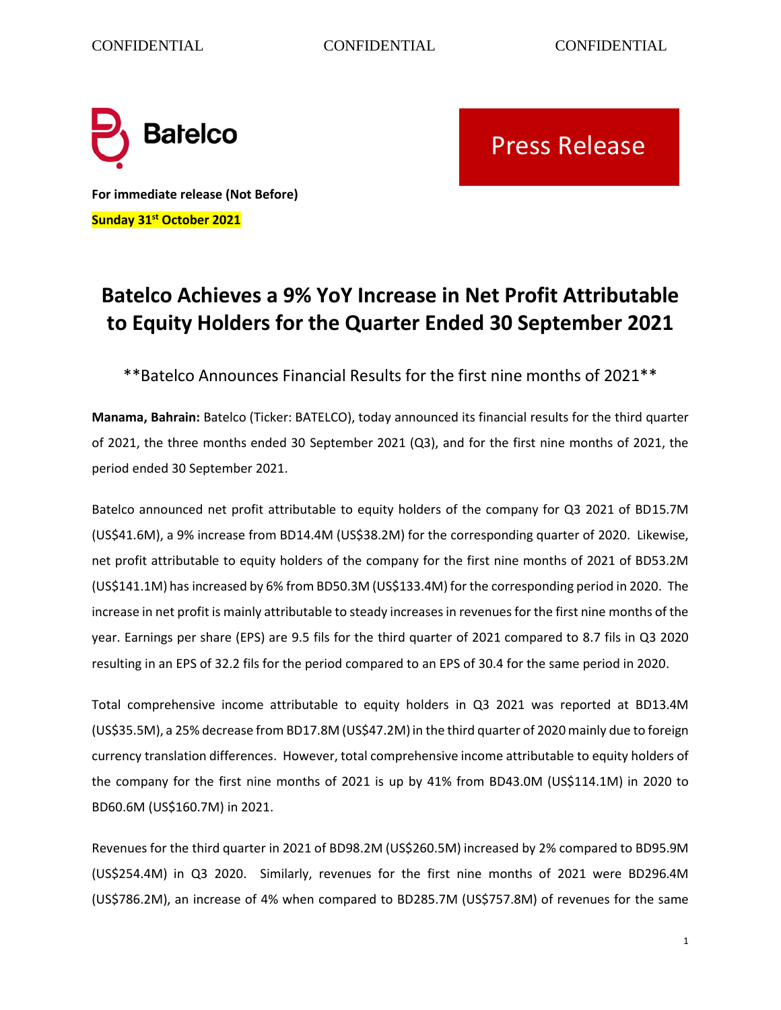

Press Release

**For immediate release (Not Before) Sunday 31st October 2021**

## **Batelco Achieves a 9% YoY Increase in Net Profit Attributable to Equity Holders for the Quarter Ended 30 September 2021**

\*\*Batelco Announces Financial Results for the first nine months of 2021\*\*

**Manama, Bahrain:** Batelco (Ticker: BATELCO), today announced its financial results for the third quarter of 2021, the three months ended 30 September 2021 (Q3), and for the first nine months of 2021, the period ended 30 September 2021.

Batelco announced net profit attributable to equity holders of the company for Q3 2021 of BD15.7M (US\$41.6M), a 9% increase from BD14.4M (US\$38.2M) for the corresponding quarter of 2020. Likewise, net profit attributable to equity holders of the company for the first nine months of 2021 of BD53.2M (US\$141.1M) has increased by 6% from BD50.3M (US\$133.4M) for the corresponding period in 2020. The increase in net profit is mainly attributable to steady increases in revenues for the first nine months of the year. Earnings per share (EPS) are 9.5 fils for the third quarter of 2021 compared to 8.7 fils in Q3 2020 resulting in an EPS of 32.2 fils for the period compared to an EPS of 30.4 for the same period in 2020.

Total comprehensive income attributable to equity holders in Q3 2021 was reported at BD13.4M (US\$35.5M), a 25% decrease from BD17.8M (US\$47.2M) in the third quarter of 2020 mainly due to foreign currency translation differences. However, total comprehensive income attributable to equity holders of the company for the first nine months of 2021 is up by 41% from BD43.0M (US\$114.1M) in 2020 to BD60.6M (US\$160.7M) in 2021.

Revenues for the third quarter in 2021 of BD98.2M (US\$260.5M) increased by 2% compared to BD95.9M (US\$254.4M) in Q3 2020. Similarly, revenues for the first nine months of 2021 were BD296.4M (US\$786.2M), an increase of 4% when compared to BD285.7M (US\$757.8M) of revenues for the same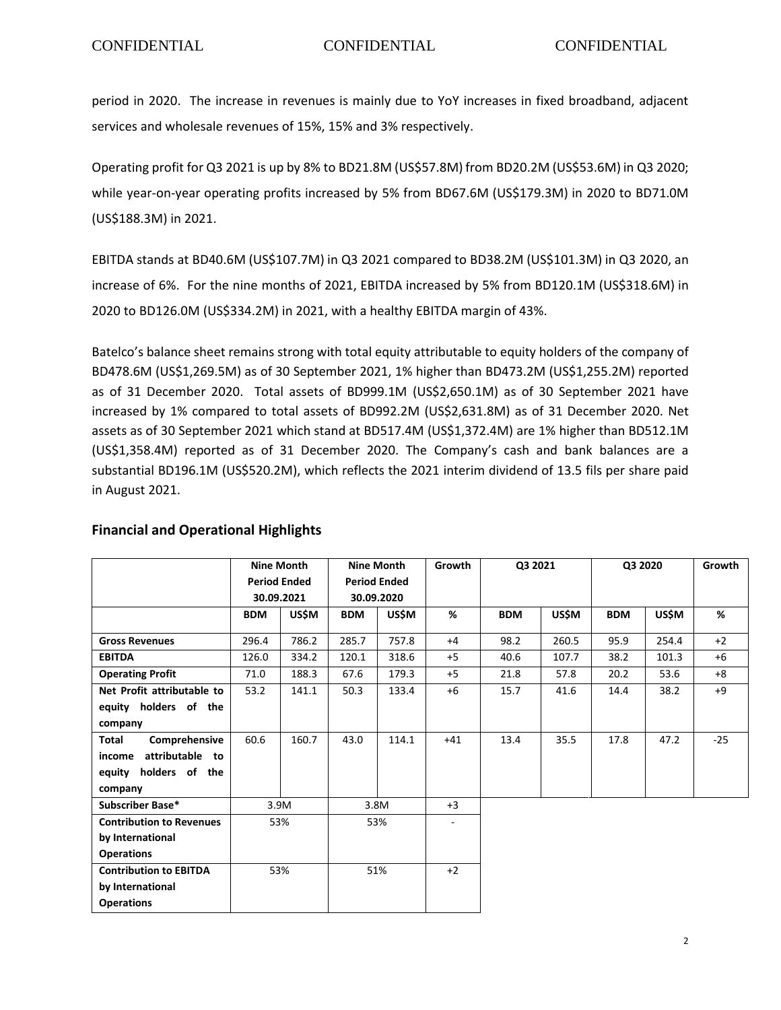period in 2020. The increase in revenues is mainly due to YoY increases in fixed broadband, adjacent services and wholesale revenues of 15%, 15% and 3% respectively.

Operating profit for Q3 2021 is up by 8% to BD21.8M (US\$57.8M) from BD20.2M (US\$53.6M) in Q3 2020; while year-on-year operating profits increased by 5% from BD67.6M (US\$179.3M) in 2020 to BD71.0M (US\$188.3M) in 2021.

EBITDA stands at BD40.6M (US\$107.7M) in Q3 2021 compared to BD38.2M (US\$101.3M) in Q3 2020, an increase of 6%. For the nine months of 2021, EBITDA increased by 5% from BD120.1M (US\$318.6M) in 2020 to BD126.0M (US\$334.2M) in 2021, with a healthy EBITDA margin of 43%.

Batelco's balance sheet remains strong with total equity attributable to equity holders of the company of BD478.6M (US\$1,269.5M) as of 30 September 2021, 1% higher than BD473.2M (US\$1,255.2M) reported as of 31 December 2020. Total assets of BD999.1M (US\$2,650.1M) as of 30 September 2021 have increased by 1% compared to total assets of BD992.2M (US\$2,631.8M) as of 31 December 2020. Net assets as of 30 September 2021 which stand at BD517.4M (US\$1,372.4M) are 1% higher than BD512.1M (US\$1,358.4M) reported as of 31 December 2020. The Company's cash and bank balances are a substantial BD196.1M (US\$520.2M), which reflects the 2021 interim dividend of 13.5 fils per share paid in August 2021.

|                                 | <b>Nine Month</b>   |              | <b>Nine Month</b>   |              | Growth                   | Q3 2021    |              | Q3 2020    |              | Growth |
|---------------------------------|---------------------|--------------|---------------------|--------------|--------------------------|------------|--------------|------------|--------------|--------|
|                                 | <b>Period Ended</b> |              | <b>Period Ended</b> |              |                          |            |              |            |              |        |
|                                 | 30.09.2021          |              | 30.09.2020          |              |                          |            |              |            |              |        |
|                                 | <b>BDM</b>          | <b>US\$M</b> | <b>BDM</b>          | <b>US\$M</b> | %                        | <b>BDM</b> | <b>US\$M</b> | <b>BDM</b> | <b>US\$M</b> | %      |
| <b>Gross Revenues</b>           | 296.4               | 786.2        | 285.7               | 757.8        | $+4$                     | 98.2       | 260.5        | 95.9       | 254.4        | $+2$   |
| <b>EBITDA</b>                   | 126.0               | 334.2        | 120.1               | 318.6        | $+5$                     | 40.6       | 107.7        | 38.2       | 101.3        | $+6$   |
| <b>Operating Profit</b>         | 71.0                | 188.3        | 67.6                | 179.3        | $+5$                     | 21.8       | 57.8         | 20.2       | 53.6         | $+8$   |
| Net Profit attributable to      | 53.2                | 141.1        | 50.3                | 133.4        | $+6$                     | 15.7       | 41.6         | 14.4       | 38.2         | +9     |
| equity holders of the           |                     |              |                     |              |                          |            |              |            |              |        |
| company                         |                     |              |                     |              |                          |            |              |            |              |        |
| Comprehensive<br>Total          | 60.6                | 160.7        | 43.0                | 114.1        | $+41$                    | 13.4       | 35.5         | 17.8       | 47.2         | $-25$  |
| attributable to<br>income       |                     |              |                     |              |                          |            |              |            |              |        |
| equity holders of the           |                     |              |                     |              |                          |            |              |            |              |        |
| company                         |                     |              |                     |              |                          |            |              |            |              |        |
| Subscriber Base*                | 3.9M                |              | 3.8M                |              | $+3$                     |            |              |            |              |        |
| <b>Contribution to Revenues</b> | 53%                 |              | 53%                 |              | $\overline{\phantom{a}}$ |            |              |            |              |        |
| by International                |                     |              |                     |              |                          |            |              |            |              |        |
| <b>Operations</b>               |                     |              |                     |              |                          |            |              |            |              |        |
| <b>Contribution to EBITDA</b>   | 53%                 |              | 51%                 |              | $+2$                     |            |              |            |              |        |
| by International                |                     |              |                     |              |                          |            |              |            |              |        |
| <b>Operations</b>               |                     |              |                     |              |                          |            |              |            |              |        |

## **Financial and Operational Highlights**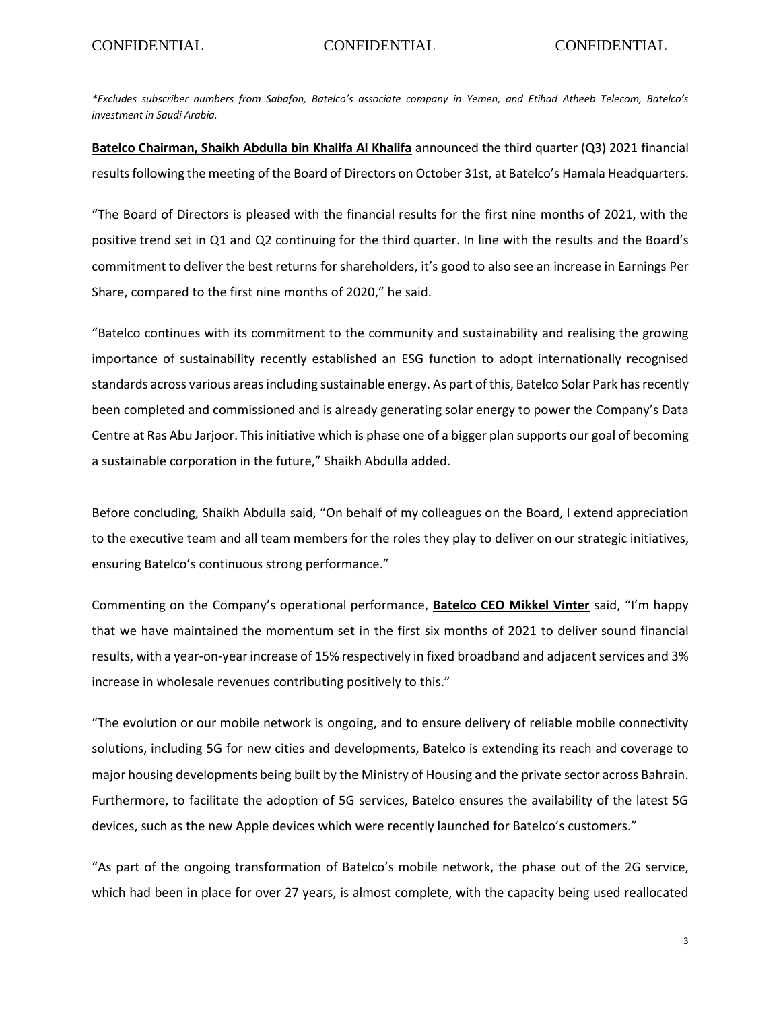*\*Excludes subscriber numbers from Sabafon, Batelco's associate company in Yemen, and Etihad Atheeb Telecom, Batelco's investment in Saudi Arabia.*

**Batelco Chairman, Shaikh Abdulla bin Khalifa Al Khalifa** announced the third quarter (Q3) 2021 financial results following the meeting of the Board of Directors on October 31st, at Batelco's Hamala Headquarters.

"The Board of Directors is pleased with the financial results for the first nine months of 2021, with the positive trend set in Q1 and Q2 continuing for the third quarter. In line with the results and the Board's commitment to deliver the best returns for shareholders, it's good to also see an increase in Earnings Per Share, compared to the first nine months of 2020," he said.

"Batelco continues with its commitment to the community and sustainability and realising the growing importance of sustainability recently established an ESG function to adopt internationally recognised standards across various areas including sustainable energy. As part of this, Batelco Solar Park has recently been completed and commissioned and is already generating solar energy to power the Company's Data Centre at Ras Abu Jarjoor. This initiative which is phase one of a bigger plan supports our goal of becoming a sustainable corporation in the future," Shaikh Abdulla added.

Before concluding, Shaikh Abdulla said, "On behalf of my colleagues on the Board, I extend appreciation to the executive team and all team members for the roles they play to deliver on our strategic initiatives, ensuring Batelco's continuous strong performance."

Commenting on the Company's operational performance, **Batelco CEO Mikkel Vinter** said, "I'm happy that we have maintained the momentum set in the first six months of 2021 to deliver sound financial results, with a year-on-year increase of 15% respectively in fixed broadband and adjacent services and 3% increase in wholesale revenues contributing positively to this."

"The evolution or our mobile network is ongoing, and to ensure delivery of reliable mobile connectivity solutions, including 5G for new cities and developments, Batelco is extending its reach and coverage to major housing developments being built by the Ministry of Housing and the private sector across Bahrain. Furthermore, to facilitate the adoption of 5G services, Batelco ensures the availability of the latest 5G devices, such as the new Apple devices which were recently launched for Batelco's customers."

"As part of the ongoing transformation of Batelco's mobile network, the phase out of the 2G service, which had been in place for over 27 years, is almost complete, with the capacity being used reallocated